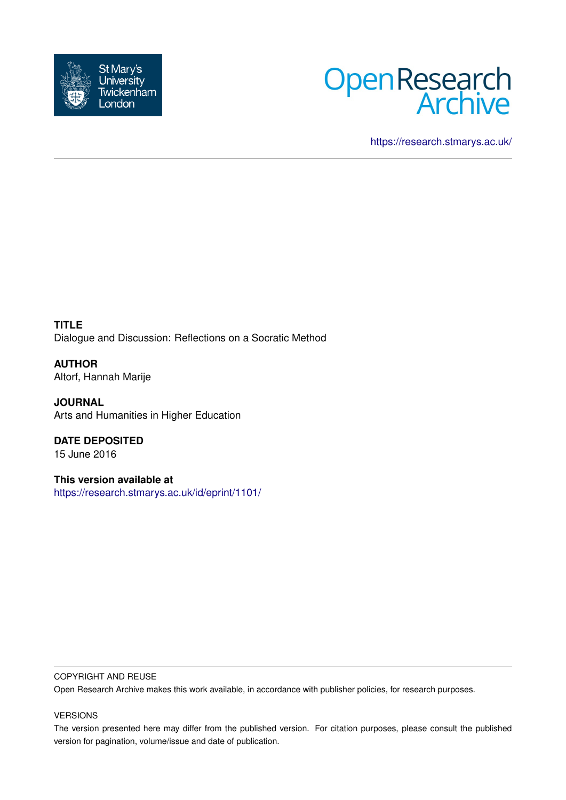



<https://research.stmarys.ac.uk/>

**TITLE** Dialogue and Discussion: Reflections on a Socratic Method

**AUTHOR** Altorf, Hannah Marije

**JOURNAL** Arts and Humanities in Higher Education

**DATE DEPOSITED** 15 June 2016

**This version available at** <https://research.stmarys.ac.uk/id/eprint/1101/>

#### COPYRIGHT AND REUSE

Open Research Archive makes this work available, in accordance with publisher policies, for research purposes.

### VERSIONS

The version presented here may differ from the published version. For citation purposes, please consult the published version for pagination, volume/issue and date of publication.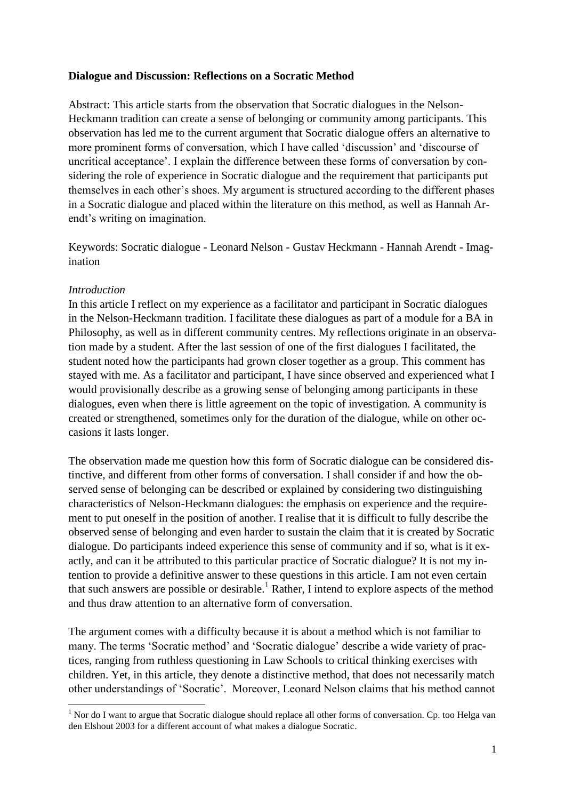## **Dialogue and Discussion: Reflections on a Socratic Method**

Abstract: This article starts from the observation that Socratic dialogues in the Nelson-Heckmann tradition can create a sense of belonging or community among participants. This observation has led me to the current argument that Socratic dialogue offers an alternative to more prominent forms of conversation, which I have called 'discussion' and 'discourse of uncritical acceptance'. I explain the difference between these forms of conversation by considering the role of experience in Socratic dialogue and the requirement that participants put themselves in each other's shoes. My argument is structured according to the different phases in a Socratic dialogue and placed within the literature on this method, as well as Hannah Arendt's writing on imagination.

Keywords: Socratic dialogue - Leonard Nelson - Gustav Heckmann - Hannah Arendt - Imagination

## *Introduction*

In this article I reflect on my experience as a facilitator and participant in Socratic dialogues in the Nelson-Heckmann tradition. I facilitate these dialogues as part of a module for a BA in Philosophy, as well as in different community centres. My reflections originate in an observation made by a student. After the last session of one of the first dialogues I facilitated, the student noted how the participants had grown closer together as a group. This comment has stayed with me. As a facilitator and participant, I have since observed and experienced what I would provisionally describe as a growing sense of belonging among participants in these dialogues, even when there is little agreement on the topic of investigation. A community is created or strengthened, sometimes only for the duration of the dialogue, while on other occasions it lasts longer.

The observation made me question how this form of Socratic dialogue can be considered distinctive, and different from other forms of conversation. I shall consider if and how the observed sense of belonging can be described or explained by considering two distinguishing characteristics of Nelson-Heckmann dialogues: the emphasis on experience and the requirement to put oneself in the position of another. I realise that it is difficult to fully describe the observed sense of belonging and even harder to sustain the claim that it is created by Socratic dialogue. Do participants indeed experience this sense of community and if so, what is it exactly, and can it be attributed to this particular practice of Socratic dialogue? It is not my intention to provide a definitive answer to these questions in this article. I am not even certain that such answers are possible or desirable.<sup>1</sup> Rather, I intend to explore aspects of the method and thus draw attention to an alternative form of conversation.

The argument comes with a difficulty because it is about a method which is not familiar to many. The terms 'Socratic method' and 'Socratic dialogue' describe a wide variety of practices, ranging from ruthless questioning in Law Schools to critical thinking exercises with children. Yet, in this article, they denote a distinctive method, that does not necessarily match other understandings of 'Socratic'. Moreover, Leonard Nelson claims that his method cannot

 $1$  Nor do I want to argue that Socratic dialogue should replace all other forms of conversation. Cp. too Helga van den Elshout 2003 for a different account of what makes a dialogue Socratic.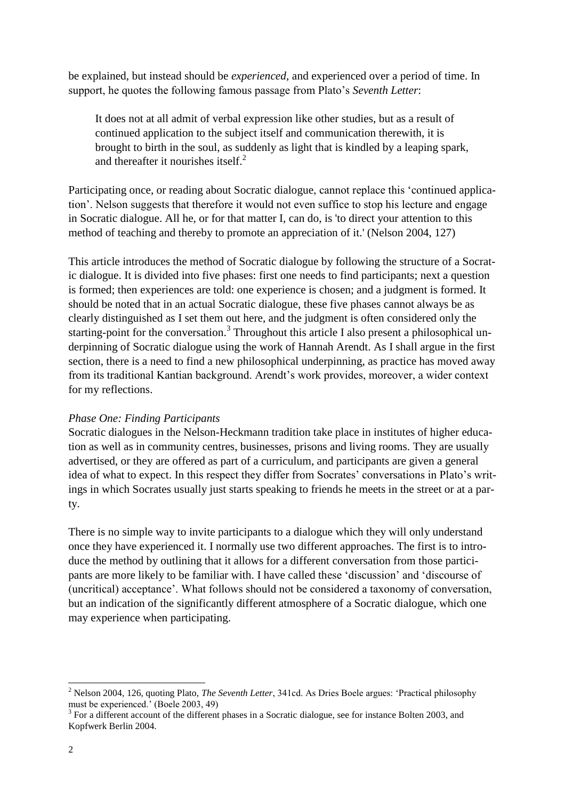be explained, but instead should be *experienced*, and experienced over a period of time. In support, he quotes the following famous passage from Plato's *Seventh Letter*:

It does not at all admit of verbal expression like other studies, but as a result of continued application to the subject itself and communication therewith, it is brought to birth in the soul, as suddenly as light that is kindled by a leaping spark, and thereafter it nourishes itself. $^{2}$ 

Participating once, or reading about Socratic dialogue, cannot replace this 'continued application'. Nelson suggests that therefore it would not even suffice to stop his lecture and engage in Socratic dialogue. All he, or for that matter I, can do, is 'to direct your attention to this method of teaching and thereby to promote an appreciation of it.' (Nelson 2004, 127)

This article introduces the method of Socratic dialogue by following the structure of a Socratic dialogue. It is divided into five phases: first one needs to find participants; next a question is formed; then experiences are told: one experience is chosen; and a judgment is formed. It should be noted that in an actual Socratic dialogue, these five phases cannot always be as clearly distinguished as I set them out here, and the judgment is often considered only the starting-point for the conversation.<sup>3</sup> Throughout this article I also present a philosophical underpinning of Socratic dialogue using the work of Hannah Arendt. As I shall argue in the first section, there is a need to find a new philosophical underpinning, as practice has moved away from its traditional Kantian background. Arendt's work provides, moreover, a wider context for my reflections.

### *Phase One: Finding Participants*

Socratic dialogues in the Nelson-Heckmann tradition take place in institutes of higher education as well as in community centres, businesses, prisons and living rooms. They are usually advertised, or they are offered as part of a curriculum, and participants are given a general idea of what to expect. In this respect they differ from Socrates' conversations in Plato's writings in which Socrates usually just starts speaking to friends he meets in the street or at a party.

There is no simple way to invite participants to a dialogue which they will only understand once they have experienced it. I normally use two different approaches. The first is to introduce the method by outlining that it allows for a different conversation from those participants are more likely to be familiar with. I have called these 'discussion' and 'discourse of (uncritical) acceptance'. What follows should not be considered a taxonomy of conversation, but an indication of the significantly different atmosphere of a Socratic dialogue, which one may experience when participating.

 $\overline{a}$ 

<sup>2</sup> Nelson 2004, 126, quoting Plato, *The Seventh Letter*, 341cd. As Dries Boele argues: 'Practical philosophy must be experienced.' (Boele 2003, 49)

 $3$  For a different account of the different phases in a Socratic dialogue, see for instance Bolten 2003, and Kopfwerk Berlin 2004.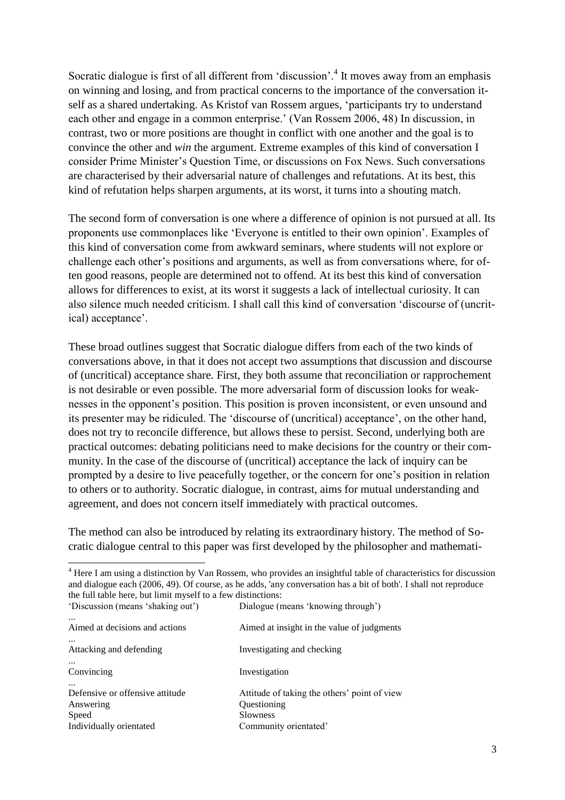Socratic dialogue is first of all different from 'discussion'.<sup>4</sup> It moves away from an emphasis on winning and losing, and from practical concerns to the importance of the conversation itself as a shared undertaking. As Kristof van Rossem argues, 'participants try to understand each other and engage in a common enterprise.' (Van Rossem 2006, 48) In discussion, in contrast, two or more positions are thought in conflict with one another and the goal is to convince the other and *win* the argument. Extreme examples of this kind of conversation I consider Prime Minister's Question Time, or discussions on Fox News. Such conversations are characterised by their adversarial nature of challenges and refutations. At its best, this kind of refutation helps sharpen arguments, at its worst, it turns into a shouting match.

The second form of conversation is one where a difference of opinion is not pursued at all. Its proponents use commonplaces like 'Everyone is entitled to their own opinion'. Examples of this kind of conversation come from awkward seminars, where students will not explore or challenge each other's positions and arguments, as well as from conversations where, for often good reasons, people are determined not to offend. At its best this kind of conversation allows for differences to exist, at its worst it suggests a lack of intellectual curiosity. It can also silence much needed criticism. I shall call this kind of conversation 'discourse of (uncritical) acceptance'.

These broad outlines suggest that Socratic dialogue differs from each of the two kinds of conversations above, in that it does not accept two assumptions that discussion and discourse of (uncritical) acceptance share. First, they both assume that reconciliation or rapprochement is not desirable or even possible. The more adversarial form of discussion looks for weaknesses in the opponent's position. This position is proven inconsistent, or even unsound and its presenter may be ridiculed. The 'discourse of (uncritical) acceptance', on the other hand, does not try to reconcile difference, but allows these to persist. Second, underlying both are practical outcomes: debating politicians need to make decisions for the country or their community. In the case of the discourse of (uncritical) acceptance the lack of inquiry can be prompted by a desire to live peacefully together, or the concern for one's position in relation to others or to authority. Socratic dialogue, in contrast, aims for mutual understanding and agreement, and does not concern itself immediately with practical outcomes.

The method can also be introduced by relating its extraordinary history. The method of Socratic dialogue central to this paper was first developed by the philosopher and mathemati-

 $\overline{a}$ 

and dialogue each (2006, 49). Of course, as he adds, 'any conversation has a bit of both'. I shall not reproduce the full table here, but limit myself to a few distinctions: 'Discussion (means 'shaking out') Dialogue (means 'knowing through') ... Aimed at decisions and actions Aimed at insight in the value of judgments ... Attacking and defending Investigating and checking ... Convincing Investigation ... Defensive or offensive attitude Attitude of taking the others' point of view Answering Questioning Speed Slowness Individually orientated Community orientated'

<sup>&</sup>lt;sup>4</sup> Here I am using a distinction by Van Rossem, who provides an insightful table of characteristics for discussion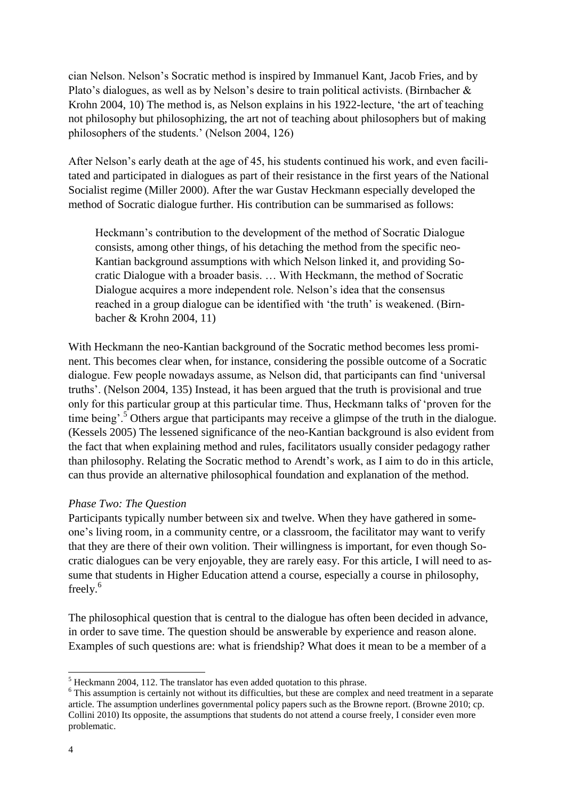cian Nelson. Nelson's Socratic method is inspired by Immanuel Kant, Jacob Fries, and by Plato's dialogues, as well as by Nelson's desire to train political activists. (Birnbacher & Krohn 2004, 10) The method is, as Nelson explains in his 1922-lecture, 'the art of teaching not philosophy but philosophizing, the art not of teaching about philosophers but of making philosophers of the students.' (Nelson 2004, 126)

After Nelson's early death at the age of 45, his students continued his work, and even facilitated and participated in dialogues as part of their resistance in the first years of the National Socialist regime (Miller 2000). After the war Gustav Heckmann especially developed the method of Socratic dialogue further. His contribution can be summarised as follows:

Heckmann's contribution to the development of the method of Socratic Dialogue consists, among other things, of his detaching the method from the specific neo-Kantian background assumptions with which Nelson linked it, and providing Socratic Dialogue with a broader basis. … With Heckmann, the method of Socratic Dialogue acquires a more independent role. Nelson's idea that the consensus reached in a group dialogue can be identified with 'the truth' is weakened. (Birnbacher & Krohn 2004, 11)

With Heckmann the neo-Kantian background of the Socratic method becomes less prominent. This becomes clear when, for instance, considering the possible outcome of a Socratic dialogue. Few people nowadays assume, as Nelson did, that participants can find 'universal truths'. (Nelson 2004, 135) Instead, it has been argued that the truth is provisional and true only for this particular group at this particular time. Thus, Heckmann talks of 'proven for the time being'.<sup>5</sup> Others argue that participants may receive a glimpse of the truth in the dialogue. (Kessels 2005) The lessened significance of the neo-Kantian background is also evident from the fact that when explaining method and rules, facilitators usually consider pedagogy rather than philosophy. Relating the Socratic method to Arendt's work, as I aim to do in this article, can thus provide an alternative philosophical foundation and explanation of the method.

### *Phase Two: The Question*

Participants typically number between six and twelve. When they have gathered in someone's living room, in a community centre, or a classroom, the facilitator may want to verify that they are there of their own volition. Their willingness is important, for even though Socratic dialogues can be very enjoyable, they are rarely easy. For this article, I will need to assume that students in Higher Education attend a course, especially a course in philosophy, freely.<sup>6</sup>

The philosophical question that is central to the dialogue has often been decided in advance, in order to save time. The question should be answerable by experience and reason alone. Examples of such questions are: what is friendship? What does it mean to be a member of a

 $<sup>5</sup>$  Heckmann 2004, 112. The translator has even added quotation to this phrase.</sup>

<sup>&</sup>lt;sup>6</sup> This assumption is certainly not without its difficulties, but these are complex and need treatment in a separate article. The assumption underlines governmental policy papers such as the Browne report. (Browne 2010; cp. Collini 2010) Its opposite, the assumptions that students do not attend a course freely, I consider even more problematic.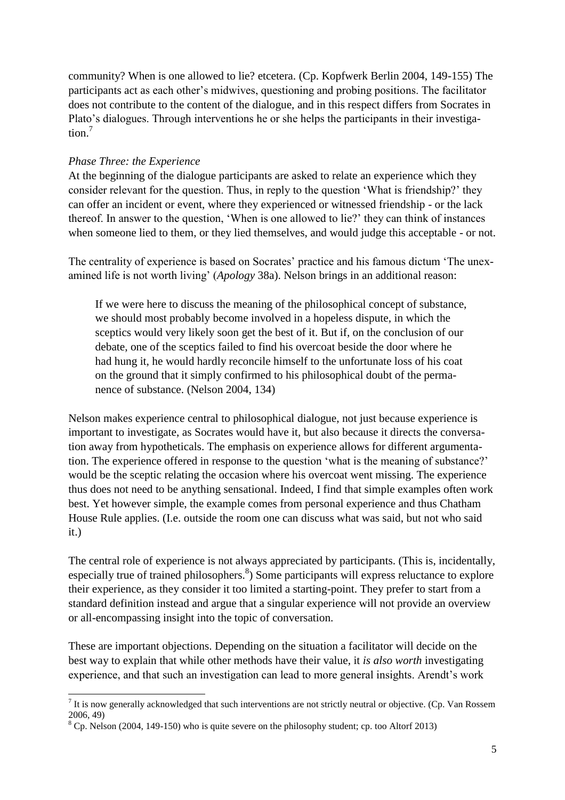community? When is one allowed to lie? etcetera. (Cp. Kopfwerk Berlin 2004, 149-155) The participants act as each other's midwives, questioning and probing positions. The facilitator does not contribute to the content of the dialogue, and in this respect differs from Socrates in Plato's dialogues. Through interventions he or she helps the participants in their investigation.<sup>7</sup>

## *Phase Three: the Experience*

At the beginning of the dialogue participants are asked to relate an experience which they consider relevant for the question. Thus, in reply to the question 'What is friendship?' they can offer an incident or event, where they experienced or witnessed friendship - or the lack thereof. In answer to the question, 'When is one allowed to lie?' they can think of instances when someone lied to them, or they lied themselves, and would judge this acceptable - or not.

The centrality of experience is based on Socrates' practice and his famous dictum 'The unexamined life is not worth living' (*Apology* 38a). Nelson brings in an additional reason:

If we were here to discuss the meaning of the philosophical concept of substance, we should most probably become involved in a hopeless dispute, in which the sceptics would very likely soon get the best of it. But if, on the conclusion of our debate, one of the sceptics failed to find his overcoat beside the door where he had hung it, he would hardly reconcile himself to the unfortunate loss of his coat on the ground that it simply confirmed to his philosophical doubt of the permanence of substance. (Nelson 2004, 134)

Nelson makes experience central to philosophical dialogue, not just because experience is important to investigate, as Socrates would have it, but also because it directs the conversation away from hypotheticals. The emphasis on experience allows for different argumentation. The experience offered in response to the question 'what is the meaning of substance?' would be the sceptic relating the occasion where his overcoat went missing. The experience thus does not need to be anything sensational. Indeed, I find that simple examples often work best. Yet however simple, the example comes from personal experience and thus Chatham House Rule applies. (I.e. outside the room one can discuss what was said, but not who said it.)

The central role of experience is not always appreciated by participants. (This is, incidentally, especially true of trained philosophers.<sup>8</sup>) Some participants will express reluctance to explore their experience, as they consider it too limited a starting-point. They prefer to start from a standard definition instead and argue that a singular experience will not provide an overview or all-encompassing insight into the topic of conversation.

These are important objections. Depending on the situation a facilitator will decide on the best way to explain that while other methods have their value, it *is also worth* investigating experience, and that such an investigation can lead to more general insights. Arendt's work

 $<sup>7</sup>$  It is now generally acknowledged that such interventions are not strictly neutral or objective. (Cp. Van Rossem</sup> 2006, 49)

 $8$  Cp. Nelson (2004, 149-150) who is quite severe on the philosophy student; cp. too Altorf 2013)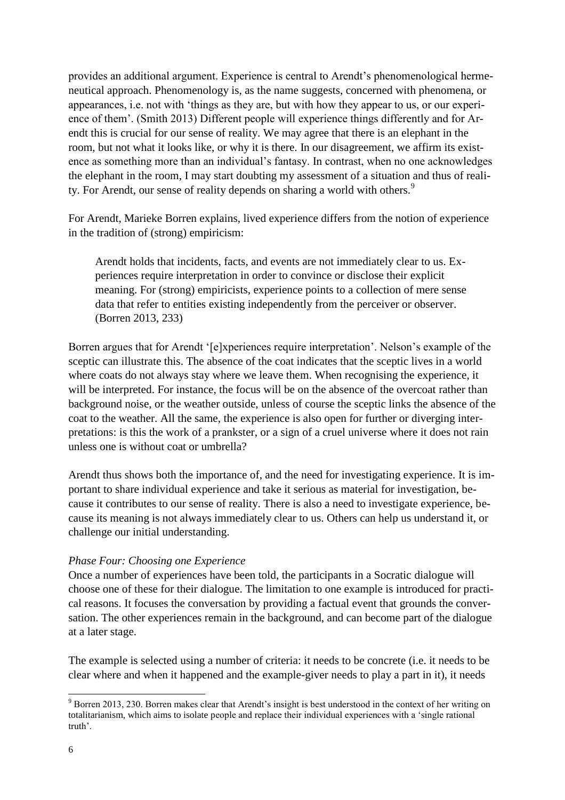provides an additional argument. Experience is central to Arendt's phenomenological hermeneutical approach. Phenomenology is, as the name suggests, concerned with phenomena, or appearances, i.e. not with 'things as they are, but with how they appear to us, or our experience of them'. (Smith 2013) Different people will experience things differently and for Arendt this is crucial for our sense of reality. We may agree that there is an elephant in the room, but not what it looks like, or why it is there. In our disagreement, we affirm its existence as something more than an individual's fantasy. In contrast, when no one acknowledges the elephant in the room, I may start doubting my assessment of a situation and thus of reality. For Arendt, our sense of reality depends on sharing a world with others.<sup>9</sup>

For Arendt, Marieke Borren explains, lived experience differs from the notion of experience in the tradition of (strong) empiricism:

Arendt holds that incidents, facts, and events are not immediately clear to us. Experiences require interpretation in order to convince or disclose their explicit meaning. For (strong) empiricists, experience points to a collection of mere sense data that refer to entities existing independently from the perceiver or observer. (Borren 2013, 233)

Borren argues that for Arendt '[e]xperiences require interpretation'. Nelson's example of the sceptic can illustrate this. The absence of the coat indicates that the sceptic lives in a world where coats do not always stay where we leave them. When recognising the experience, it will be interpreted. For instance, the focus will be on the absence of the overcoat rather than background noise, or the weather outside, unless of course the sceptic links the absence of the coat to the weather. All the same, the experience is also open for further or diverging interpretations: is this the work of a prankster, or a sign of a cruel universe where it does not rain unless one is without coat or umbrella?

Arendt thus shows both the importance of, and the need for investigating experience. It is important to share individual experience and take it serious as material for investigation, because it contributes to our sense of reality. There is also a need to investigate experience, because its meaning is not always immediately clear to us. Others can help us understand it, or challenge our initial understanding.

### *Phase Four: Choosing one Experience*

Once a number of experiences have been told, the participants in a Socratic dialogue will choose one of these for their dialogue. The limitation to one example is introduced for practical reasons. It focuses the conversation by providing a factual event that grounds the conversation. The other experiences remain in the background, and can become part of the dialogue at a later stage.

The example is selected using a number of criteria: it needs to be concrete (i.e. it needs to be clear where and when it happened and the example-giver needs to play a part in it), it needs

<sup>9</sup> Borren 2013, 230. Borren makes clear that Arendt's insight is best understood in the context of her writing on totalitarianism, which aims to isolate people and replace their individual experiences with a 'single rational truth'.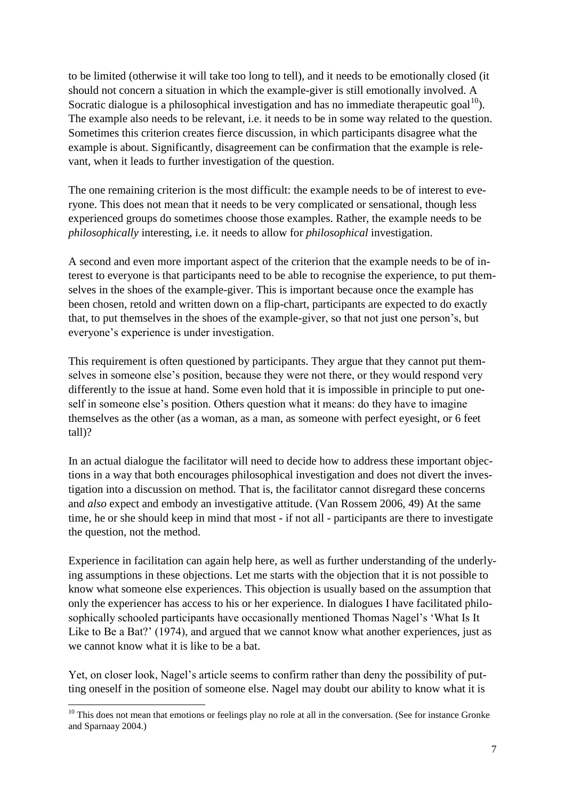to be limited (otherwise it will take too long to tell), and it needs to be emotionally closed (it should not concern a situation in which the example-giver is still emotionally involved. A Socratic dialogue is a philosophical investigation and has no immediate therapeutic goal<sup>10</sup>). The example also needs to be relevant, i.e. it needs to be in some way related to the question. Sometimes this criterion creates fierce discussion, in which participants disagree what the example is about. Significantly, disagreement can be confirmation that the example is relevant, when it leads to further investigation of the question.

The one remaining criterion is the most difficult: the example needs to be of interest to everyone. This does not mean that it needs to be very complicated or sensational, though less experienced groups do sometimes choose those examples. Rather, the example needs to be *philosophically* interesting, i.e. it needs to allow for *philosophical* investigation.

A second and even more important aspect of the criterion that the example needs to be of interest to everyone is that participants need to be able to recognise the experience, to put themselves in the shoes of the example-giver. This is important because once the example has been chosen, retold and written down on a flip-chart, participants are expected to do exactly that, to put themselves in the shoes of the example-giver, so that not just one person's, but everyone's experience is under investigation.

This requirement is often questioned by participants. They argue that they cannot put themselves in someone else's position, because they were not there, or they would respond very differently to the issue at hand. Some even hold that it is impossible in principle to put oneself in someone else's position. Others question what it means: do they have to imagine themselves as the other (as a woman, as a man, as someone with perfect eyesight, or 6 feet tall)?

In an actual dialogue the facilitator will need to decide how to address these important objections in a way that both encourages philosophical investigation and does not divert the investigation into a discussion on method. That is, the facilitator cannot disregard these concerns and *also* expect and embody an investigative attitude. (Van Rossem 2006, 49) At the same time, he or she should keep in mind that most - if not all - participants are there to investigate the question, not the method.

Experience in facilitation can again help here, as well as further understanding of the underlying assumptions in these objections. Let me starts with the objection that it is not possible to know what someone else experiences. This objection is usually based on the assumption that only the experiencer has access to his or her experience. In dialogues I have facilitated philosophically schooled participants have occasionally mentioned Thomas Nagel's 'What Is It Like to Be a Bat?' (1974), and argued that we cannot know what another experiences, just as we cannot know what it is like to be a bat.

Yet, on closer look, Nagel's article seems to confirm rather than deny the possibility of putting oneself in the position of someone else. Nagel may doubt our ability to know what it is

  $10$  This does not mean that emotions or feelings play no role at all in the conversation. (See for instance Gronke and Sparnaay 2004.)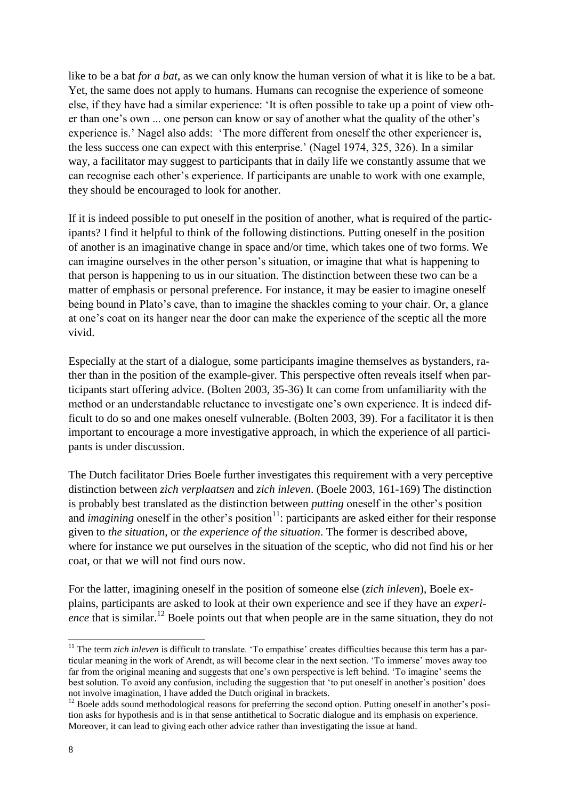like to be a bat *for a bat*, as we can only know the human version of what it is like to be a bat. Yet, the same does not apply to humans. Humans can recognise the experience of someone else, if they have had a similar experience: 'It is often possible to take up a point of view other than one's own ... one person can know or say of another what the quality of the other's experience is.' Nagel also adds: 'The more different from oneself the other experiencer is, the less success one can expect with this enterprise.' (Nagel 1974, 325, 326). In a similar way, a facilitator may suggest to participants that in daily life we constantly assume that we can recognise each other's experience. If participants are unable to work with one example, they should be encouraged to look for another.

If it is indeed possible to put oneself in the position of another, what is required of the participants? I find it helpful to think of the following distinctions. Putting oneself in the position of another is an imaginative change in space and/or time, which takes one of two forms. We can imagine ourselves in the other person's situation, or imagine that what is happening to that person is happening to us in our situation. The distinction between these two can be a matter of emphasis or personal preference. For instance, it may be easier to imagine oneself being bound in Plato's cave, than to imagine the shackles coming to your chair. Or, a glance at one's coat on its hanger near the door can make the experience of the sceptic all the more vivid.

Especially at the start of a dialogue, some participants imagine themselves as bystanders, rather than in the position of the example-giver. This perspective often reveals itself when participants start offering advice. (Bolten 2003, 35-36) It can come from unfamiliarity with the method or an understandable reluctance to investigate one's own experience. It is indeed difficult to do so and one makes oneself vulnerable. (Bolten 2003, 39). For a facilitator it is then important to encourage a more investigative approach, in which the experience of all participants is under discussion.

The Dutch facilitator Dries Boele further investigates this requirement with a very perceptive distinction between *zich verplaatsen* and *zich inleven*. (Boele 2003, 161-169) The distinction is probably best translated as the distinction between *putting* oneself in the other's position and *imagining* oneself in the other's position $1$ <sup>1</sup>: participants are asked either for their response given to *the situation*, or *the experience of the situation*. The former is described above, where for instance we put ourselves in the situation of the sceptic, who did not find his or her coat, or that we will not find ours now.

For the latter, imagining oneself in the position of someone else (*zich inleven*), Boele explains, participants are asked to look at their own experience and see if they have an *experience* that is similar.<sup>12</sup> Boele points out that when people are in the same situation, they do not

<sup>&</sup>lt;sup>11</sup> The term *zich inleven* is difficult to translate. 'To empathise' creates difficulties because this term has a particular meaning in the work of Arendt, as will become clear in the next section. 'To immerse' moves away too far from the original meaning and suggests that one's own perspective is left behind. 'To imagine' seems the best solution. To avoid any confusion, including the suggestion that 'to put oneself in another's position' does not involve imagination, I have added the Dutch original in brackets.

 $12$  Boele adds sound methodological reasons for preferring the second option. Putting oneself in another's position asks for hypothesis and is in that sense antithetical to Socratic dialogue and its emphasis on experience. Moreover, it can lead to giving each other advice rather than investigating the issue at hand.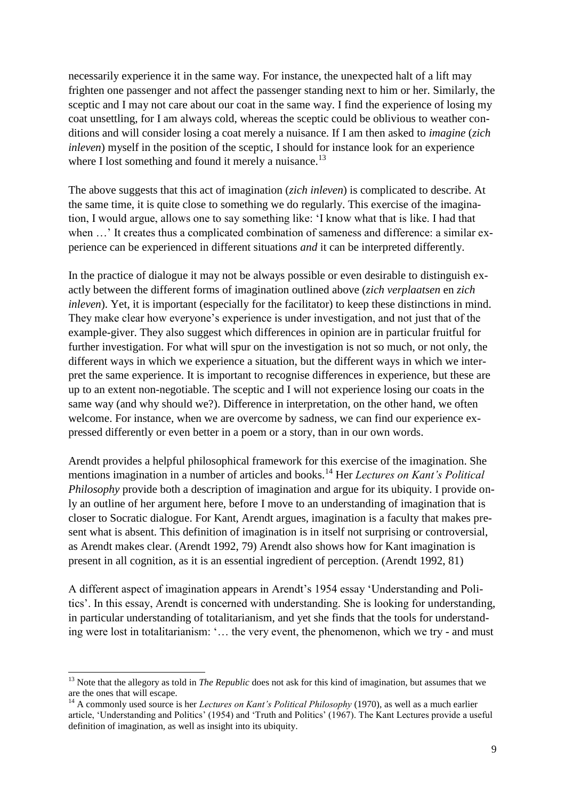necessarily experience it in the same way. For instance, the unexpected halt of a lift may frighten one passenger and not affect the passenger standing next to him or her. Similarly, the sceptic and I may not care about our coat in the same way. I find the experience of losing my coat unsettling, for I am always cold, whereas the sceptic could be oblivious to weather conditions and will consider losing a coat merely a nuisance. If I am then asked to *imagine* (*zich inleven*) myself in the position of the sceptic, I should for instance look for an experience where I lost something and found it merely a nuisance.<sup>13</sup>

The above suggests that this act of imagination (*zich inleven*) is complicated to describe. At the same time, it is quite close to something we do regularly. This exercise of the imagination, I would argue, allows one to say something like: 'I know what that is like. I had that when  $\ldots$  It creates thus a complicated combination of sameness and difference: a similar experience can be experienced in different situations *and* it can be interpreted differently.

In the practice of dialogue it may not be always possible or even desirable to distinguish exactly between the different forms of imagination outlined above (*zich verplaatsen* en *zich inleven*). Yet, it is important (especially for the facilitator) to keep these distinctions in mind. They make clear how everyone's experience is under investigation, and not just that of the example-giver. They also suggest which differences in opinion are in particular fruitful for further investigation. For what will spur on the investigation is not so much, or not only, the different ways in which we experience a situation, but the different ways in which we interpret the same experience. It is important to recognise differences in experience, but these are up to an extent non-negotiable. The sceptic and I will not experience losing our coats in the same way (and why should we?). Difference in interpretation, on the other hand, we often welcome. For instance, when we are overcome by sadness, we can find our experience expressed differently or even better in a poem or a story, than in our own words.

Arendt provides a helpful philosophical framework for this exercise of the imagination. She mentions imagination in a number of articles and books.<sup>14</sup> Her *Lectures on Kant's Political Philosophy* provide both a description of imagination and argue for its ubiquity. I provide only an outline of her argument here, before I move to an understanding of imagination that is closer to Socratic dialogue. For Kant, Arendt argues, imagination is a faculty that makes present what is absent. This definition of imagination is in itself not surprising or controversial, as Arendt makes clear. (Arendt 1992, 79) Arendt also shows how for Kant imagination is present in all cognition, as it is an essential ingredient of perception. (Arendt 1992, 81)

A different aspect of imagination appears in Arendt's 1954 essay 'Understanding and Politics'. In this essay, Arendt is concerned with understanding. She is looking for understanding, in particular understanding of totalitarianism, and yet she finds that the tools for understanding were lost in totalitarianism: '… the very event, the phenomenon, which we try - and must

<sup>&</sup>lt;sup>13</sup> Note that the allegory as told in *The Republic* does not ask for this kind of imagination, but assumes that we are the ones that will escape.

<sup>&</sup>lt;sup>14</sup> A commonly used source is her *Lectures on Kant's Political Philosophy* (1970), as well as a much earlier article, 'Understanding and Politics' (1954) and 'Truth and Politics' (1967). The Kant Lectures provide a useful definition of imagination, as well as insight into its ubiquity.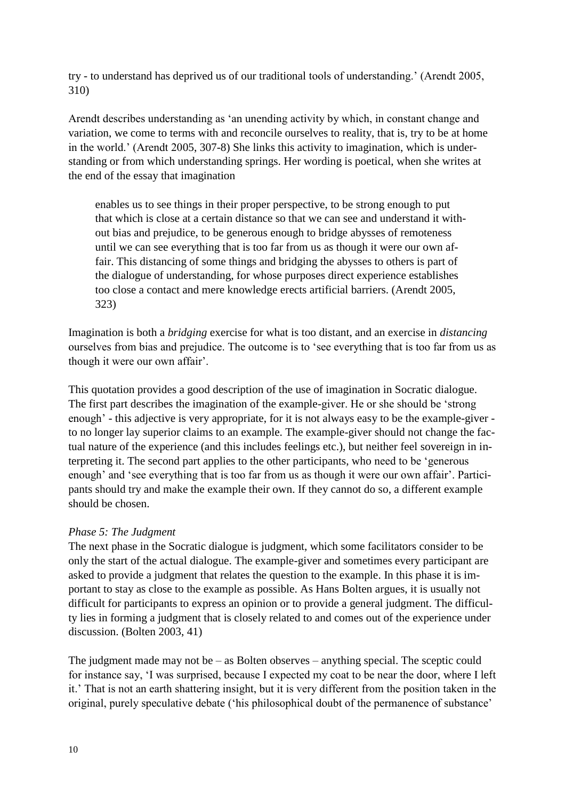try - to understand has deprived us of our traditional tools of understanding.' (Arendt 2005, 310)

Arendt describes understanding as 'an unending activity by which, in constant change and variation, we come to terms with and reconcile ourselves to reality, that is, try to be at home in the world.' (Arendt 2005, 307-8) She links this activity to imagination, which is understanding or from which understanding springs. Her wording is poetical, when she writes at the end of the essay that imagination

enables us to see things in their proper perspective, to be strong enough to put that which is close at a certain distance so that we can see and understand it without bias and prejudice, to be generous enough to bridge abysses of remoteness until we can see everything that is too far from us as though it were our own affair. This distancing of some things and bridging the abysses to others is part of the dialogue of understanding, for whose purposes direct experience establishes too close a contact and mere knowledge erects artificial barriers. (Arendt 2005, 323)

Imagination is both a *bridging* exercise for what is too distant, and an exercise in *distancing* ourselves from bias and prejudice. The outcome is to 'see everything that is too far from us as though it were our own affair'.

This quotation provides a good description of the use of imagination in Socratic dialogue. The first part describes the imagination of the example-giver. He or she should be 'strong enough' - this adjective is very appropriate, for it is not always easy to be the example-giver to no longer lay superior claims to an example. The example-giver should not change the factual nature of the experience (and this includes feelings etc.), but neither feel sovereign in interpreting it. The second part applies to the other participants, who need to be 'generous enough' and 'see everything that is too far from us as though it were our own affair'. Participants should try and make the example their own. If they cannot do so, a different example should be chosen.

# *Phase 5: The Judgment*

The next phase in the Socratic dialogue is judgment, which some facilitators consider to be only the start of the actual dialogue. The example-giver and sometimes every participant are asked to provide a judgment that relates the question to the example. In this phase it is important to stay as close to the example as possible. As Hans Bolten argues, it is usually not difficult for participants to express an opinion or to provide a general judgment. The difficulty lies in forming a judgment that is closely related to and comes out of the experience under discussion. (Bolten 2003, 41)

The judgment made may not be – as Bolten observes – anything special. The sceptic could for instance say, 'I was surprised, because I expected my coat to be near the door, where I left it.' That is not an earth shattering insight, but it is very different from the position taken in the original, purely speculative debate ('his philosophical doubt of the permanence of substance'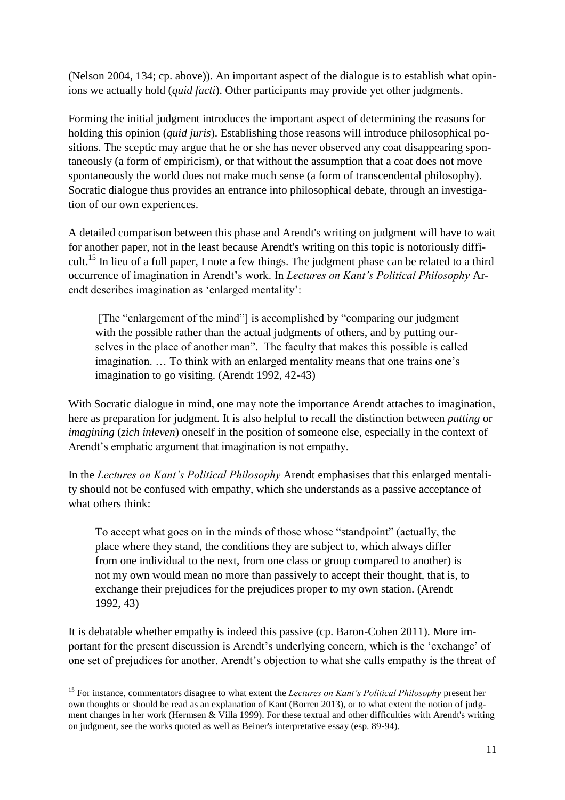(Nelson 2004, 134; cp. above)). An important aspect of the dialogue is to establish what opinions we actually hold (*quid facti*). Other participants may provide yet other judgments.

Forming the initial judgment introduces the important aspect of determining the reasons for holding this opinion (*quid juris*). Establishing those reasons will introduce philosophical positions. The sceptic may argue that he or she has never observed any coat disappearing spontaneously (a form of empiricism), or that without the assumption that a coat does not move spontaneously the world does not make much sense (a form of transcendental philosophy). Socratic dialogue thus provides an entrance into philosophical debate, through an investigation of our own experiences.

A detailed comparison between this phase and Arendt's writing on judgment will have to wait for another paper, not in the least because Arendt's writing on this topic is notoriously difficult.<sup>15</sup> In lieu of a full paper, I note a few things. The judgment phase can be related to a third occurrence of imagination in Arendt's work. In *Lectures on Kant's Political Philosophy* Arendt describes imagination as 'enlarged mentality':

[The "enlargement of the mind"] is accomplished by "comparing our judgment with the possible rather than the actual judgments of others, and by putting ourselves in the place of another man". The faculty that makes this possible is called imagination. … To think with an enlarged mentality means that one trains one's imagination to go visiting. (Arendt 1992, 42-43)

With Socratic dialogue in mind, one may note the importance Arendt attaches to imagination, here as preparation for judgment. It is also helpful to recall the distinction between *putting* or *imagining* (*zich inleven*) oneself in the position of someone else, especially in the context of Arendt's emphatic argument that imagination is not empathy.

In the *Lectures on Kant's Political Philosophy* Arendt emphasises that this enlarged mentality should not be confused with empathy, which she understands as a passive acceptance of what others think:

To accept what goes on in the minds of those whose "standpoint" (actually, the place where they stand, the conditions they are subject to, which always differ from one individual to the next, from one class or group compared to another) is not my own would mean no more than passively to accept their thought, that is, to exchange their prejudices for the prejudices proper to my own station. (Arendt 1992, 43)

It is debatable whether empathy is indeed this passive (cp. Baron-Cohen 2011). More important for the present discussion is Arendt's underlying concern, which is the 'exchange' of one set of prejudices for another. Arendt's objection to what she calls empathy is the threat of

 $\overline{a}$ 

<sup>15</sup> For instance, commentators disagree to what extent the *Lectures on Kant's Political Philosophy* present her own thoughts or should be read as an explanation of Kant (Borren 2013), or to what extent the notion of judgment changes in her work (Hermsen & Villa 1999). For these textual and other difficulties with Arendt's writing on judgment, see the works quoted as well as Beiner's interpretative essay (esp. 89-94).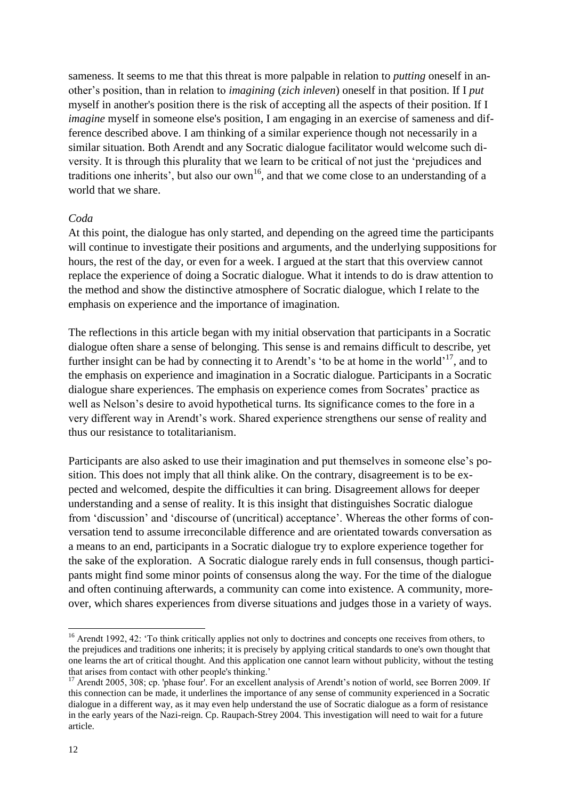sameness. It seems to me that this threat is more palpable in relation to *putting* oneself in another's position, than in relation to *imagining* (*zich inleven*) oneself in that position. If I *put* myself in another's position there is the risk of accepting all the aspects of their position. If I *imagine* myself in someone else's position, I am engaging in an exercise of sameness and difference described above. I am thinking of a similar experience though not necessarily in a similar situation. Both Arendt and any Socratic dialogue facilitator would welcome such diversity. It is through this plurality that we learn to be critical of not just the 'prejudices and traditions one inherits', but also our  $own<sup>16</sup>$ , and that we come close to an understanding of a world that we share.

#### *Coda*

At this point, the dialogue has only started, and depending on the agreed time the participants will continue to investigate their positions and arguments, and the underlying suppositions for hours, the rest of the day, or even for a week. I argued at the start that this overview cannot replace the experience of doing a Socratic dialogue. What it intends to do is draw attention to the method and show the distinctive atmosphere of Socratic dialogue, which I relate to the emphasis on experience and the importance of imagination.

The reflections in this article began with my initial observation that participants in a Socratic dialogue often share a sense of belonging. This sense is and remains difficult to describe, yet further insight can be had by connecting it to Arendt's 'to be at home in the world'<sup>17</sup>, and to the emphasis on experience and imagination in a Socratic dialogue. Participants in a Socratic dialogue share experiences. The emphasis on experience comes from Socrates' practice as well as Nelson's desire to avoid hypothetical turns. Its significance comes to the fore in a very different way in Arendt's work. Shared experience strengthens our sense of reality and thus our resistance to totalitarianism.

Participants are also asked to use their imagination and put themselves in someone else's position. This does not imply that all think alike. On the contrary, disagreement is to be expected and welcomed, despite the difficulties it can bring. Disagreement allows for deeper understanding and a sense of reality. It is this insight that distinguishes Socratic dialogue from 'discussion' and 'discourse of (uncritical) acceptance'. Whereas the other forms of conversation tend to assume irreconcilable difference and are orientated towards conversation as a means to an end, participants in a Socratic dialogue try to explore experience together for the sake of the exploration. A Socratic dialogue rarely ends in full consensus, though participants might find some minor points of consensus along the way. For the time of the dialogue and often continuing afterwards, a community can come into existence. A community, moreover, which shares experiences from diverse situations and judges those in a variety of ways.

<sup>&</sup>lt;sup>16</sup> Arendt 1992, 42: 'To think critically applies not only to doctrines and concepts one receives from others, to the prejudices and traditions one inherits; it is precisely by applying critical standards to one's own thought that one learns the art of critical thought. And this application one cannot learn without publicity, without the testing that arises from contact with other people's thinking.'

<sup>&</sup>lt;sup>17</sup> Arendt 2005, 308; cp. 'phase four'. For an excellent analysis of Arendt's notion of world, see Borren 2009. If this connection can be made, it underlines the importance of any sense of community experienced in a Socratic dialogue in a different way, as it may even help understand the use of Socratic dialogue as a form of resistance in the early years of the Nazi-reign. Cp. Raupach-Strey 2004. This investigation will need to wait for a future article.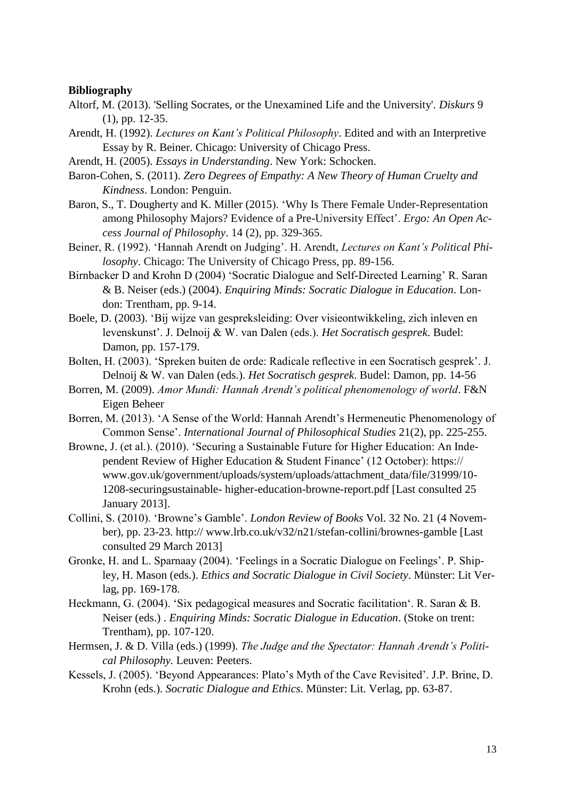### **Bibliography**

- Altorf, M. (2013). 'Selling Socrates, or the Unexamined Life and the University'. *Diskurs* 9 (1), pp. 12-35.
- Arendt, H. (1992). *Lectures on Kant's Political Philosophy*. Edited and with an Interpretive Essay by R. Beiner. Chicago: University of Chicago Press.
- Arendt, H. (2005). *Essays in Understanding*. New York: Schocken.
- Baron-Cohen, S. (2011). *Zero Degrees of Empathy: A New Theory of Human Cruelty and Kindness*. London: Penguin.
- Baron, S., T. Dougherty and K. Miller (2015). 'Why Is There Female Under-Representation among Philosophy Majors? Evidence of a Pre-University Effect'. *Ergo: An Open Access Journal of Philosophy*. 14 (2), pp. 329-365.
- Beiner, R. (1992). 'Hannah Arendt on Judging'. H. Arendt, *Lectures on Kant's Political Philosophy*. Chicago: The University of Chicago Press, pp. 89-156.
- Birnbacker D and Krohn D (2004) 'Socratic Dialogue and Self-Directed Learning' R. Saran & B. Neiser (eds.) (2004). *Enquiring Minds: Socratic Dialogue in Education*. London: Trentham, pp. 9-14.
- Boele, D. (2003). 'Bij wijze van gespreksleiding: Over visieontwikkeling, zich inleven en levenskunst'. J. Delnoij & W. van Dalen (eds.). *Het Socratisch gesprek*. Budel: Damon, pp. 157-179.
- Bolten, H. (2003). 'Spreken buiten de orde: Radicale reflective in een Socratisch gesprek'. J. Delnoij & W. van Dalen (eds.). *Het Socratisch gesprek*. Budel: Damon, pp. 14-56
- Borren, M. (2009). *Amor Mundi: Hannah Arendt's political phenomenology of world*. F&N Eigen Beheer
- Borren, M. (2013). 'A Sense of the World: Hannah Arendt's Hermeneutic Phenomenology of Common Sense'. *International Journal of Philosophical Studies* 21(2), pp. 225-255.
- Browne, J. (et al.). (2010). 'Securing a Sustainable Future for Higher Education: An Independent Review of Higher Education & Student Finance' (12 October): https:// www.gov.uk/government/uploads/system/uploads/attachment\_data/file/31999/10- 1208-securingsustainable- higher-education-browne-report.pdf [Last consulted 25 January 2013].
- Collini, S. (2010). 'Browne's Gamble'. *London Review of Books* Vol. 32 No. 21 (4 November), pp. 23-23. http:// www.lrb.co.uk/v32/n21/stefan-collini/brownes-gamble [Last consulted 29 March 2013]
- Gronke, H. and L. Sparnaay (2004). 'Feelings in a Socratic Dialogue on Feelings'. P. Shipley, H. Mason (eds.). *Ethics and Socratic Dialogue in Civil Society*. Münster: Lit Verlag, pp. 169-178.
- Heckmann, G. (2004). 'Six pedagogical measures and Socratic facilitation'. R. Saran & B. Neiser (eds.) . *Enquiring Minds: Socratic Dialogue in Education*. (Stoke on trent: Trentham), pp. 107-120.
- Hermsen, J. & D. Villa (eds.) (1999). *The Judge and the Spectator: Hannah Arendt's Political Philosophy.* Leuven: Peeters.
- Kessels, J. (2005). 'Beyond Appearances: Plato's Myth of the Cave Revisited'. J.P. Brine, D. Krohn (eds.). *Socratic Dialogue and Ethics*. Münster: Lit. Verlag, pp. 63-87.